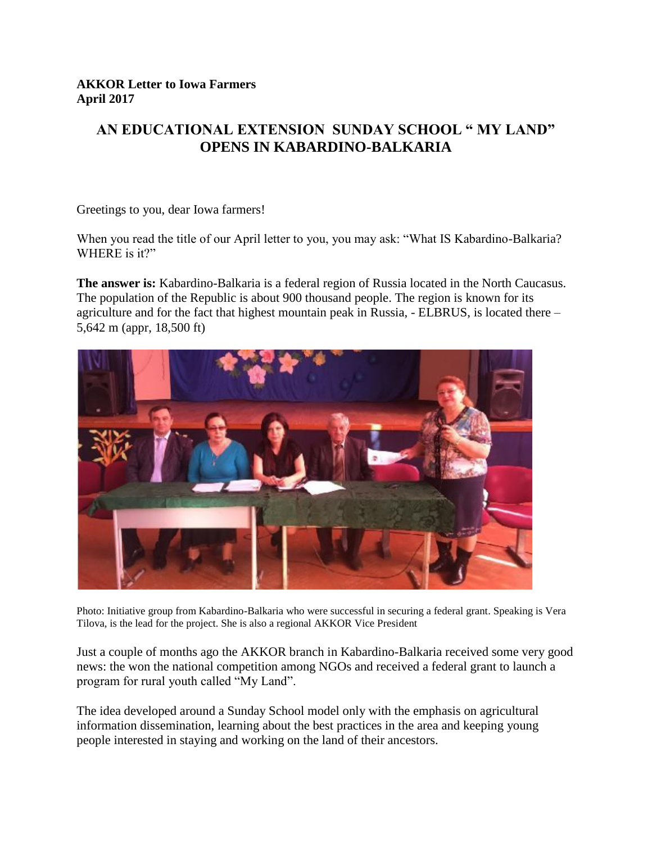## **AN EDUCATIONAL EXTENSION SUNDAY SCHOOL " MY LAND" OPENS IN KABARDINO-BALKARIA**

Greetings to you, dear Iowa farmers!

When you read the title of our April letter to you, you may ask: "What IS Kabardino-Balkaria? WHERE is it?"

**The answer is:** Kabardino-Balkaria is a federal region of Russia located in the North Caucasus. The population of the Republic is about 900 thousand people. The region is known for its agriculture and for the fact that highest mountain peak in Russia, - ELBRUS, is located there – 5,642 m (appr, 18,500 ft)



Photo: Initiative group from Kabardino-Balkaria who were successful in securing a federal grant. Speaking is Vera Tilova, is the lead for the project. She is also a regional AKKOR Vice President

Just a couple of months ago the AKKOR branch in Kabardino-Balkaria received some very good news: the won the national competition among NGOs and received a federal grant to launch a program for rural youth called "My Land".

The idea developed around a Sunday School model only with the emphasis on agricultural information dissemination, learning about the best practices in the area and keeping young people interested in staying and working on the land of their ancestors.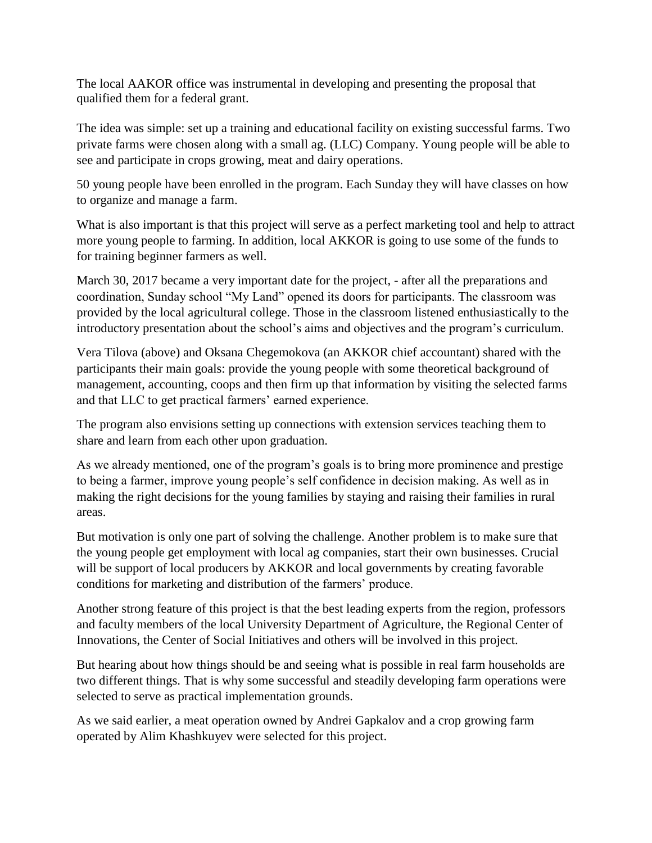The local AAKOR office was instrumental in developing and presenting the proposal that qualified them for a federal grant.

The idea was simple: set up a training and educational facility on existing successful farms. Two private farms were chosen along with a small ag. (LLC) Company. Young people will be able to see and participate in crops growing, meat and dairy operations.

50 young people have been enrolled in the program. Each Sunday they will have classes on how to organize and manage a farm.

What is also important is that this project will serve as a perfect marketing tool and help to attract more young people to farming. In addition, local AKKOR is going to use some of the funds to for training beginner farmers as well.

March 30, 2017 became a very important date for the project, - after all the preparations and coordination, Sunday school "My Land" opened its doors for participants. The classroom was provided by the local agricultural college. Those in the classroom listened enthusiastically to the introductory presentation about the school's aims and objectives and the program's curriculum.

Vera Tilova (above) and Oksana Chegemokova (an AKKOR chief accountant) shared with the participants their main goals: provide the young people with some theoretical background of management, accounting, coops and then firm up that information by visiting the selected farms and that LLC to get practical farmers' earned experience.

The program also envisions setting up connections with extension services teaching them to share and learn from each other upon graduation.

As we already mentioned, one of the program's goals is to bring more prominence and prestige to being a farmer, improve young people's self confidence in decision making. As well as in making the right decisions for the young families by staying and raising their families in rural areas.

But motivation is only one part of solving the challenge. Another problem is to make sure that the young people get employment with local ag companies, start their own businesses. Crucial will be support of local producers by AKKOR and local governments by creating favorable conditions for marketing and distribution of the farmers' produce.

Another strong feature of this project is that the best leading experts from the region, professors and faculty members of the local University Department of Agriculture, the Regional Center of Innovations, the Center of Social Initiatives and others will be involved in this project.

But hearing about how things should be and seeing what is possible in real farm households are two different things. That is why some successful and steadily developing farm operations were selected to serve as practical implementation grounds.

As we said earlier, a meat operation owned by Andrei Gapkalov and a crop growing farm operated by Alim Khashkuyev were selected for this project.